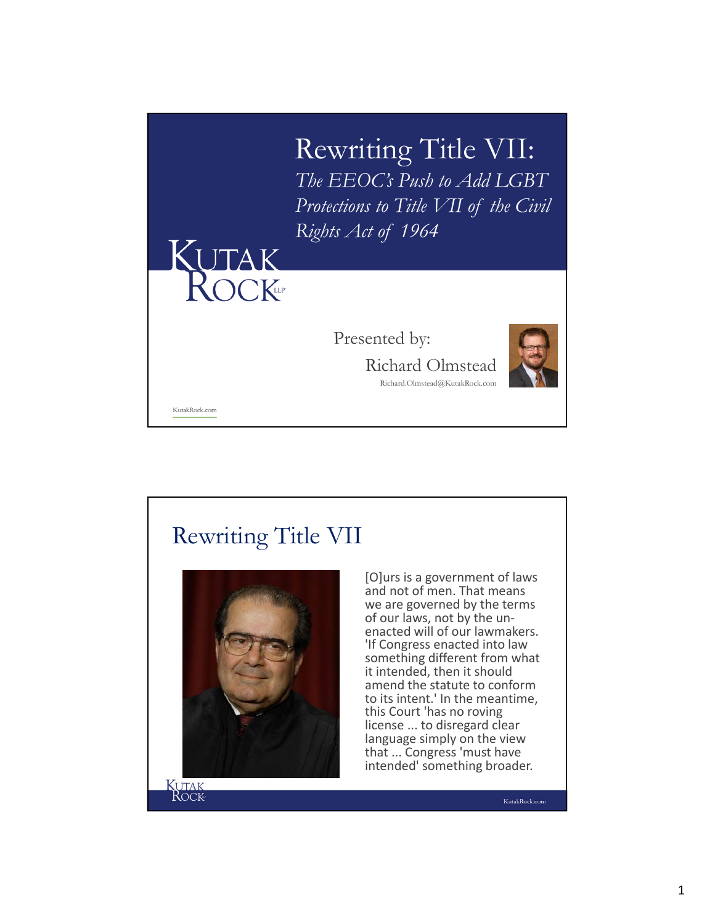

## Rewriting Title VII



[O]urs is a government of laws and not of men. That means we are governed by the terms<br>of our laws, not by the unenacted will of our lawmakers. 'If Congress enacted into law something different from what it intended, then it should amend the statute to conform to its intent.' In the meantime, this Court 'has no roving license ... to disregard clear language simply on the view that ... Congress 'must have intended' something broader.

KutakRock.com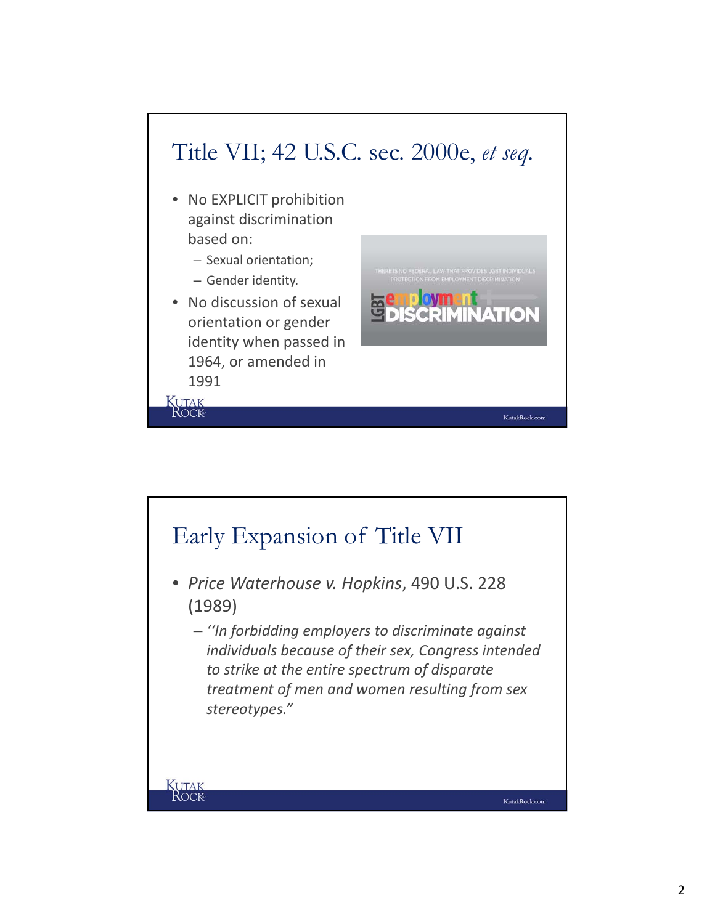

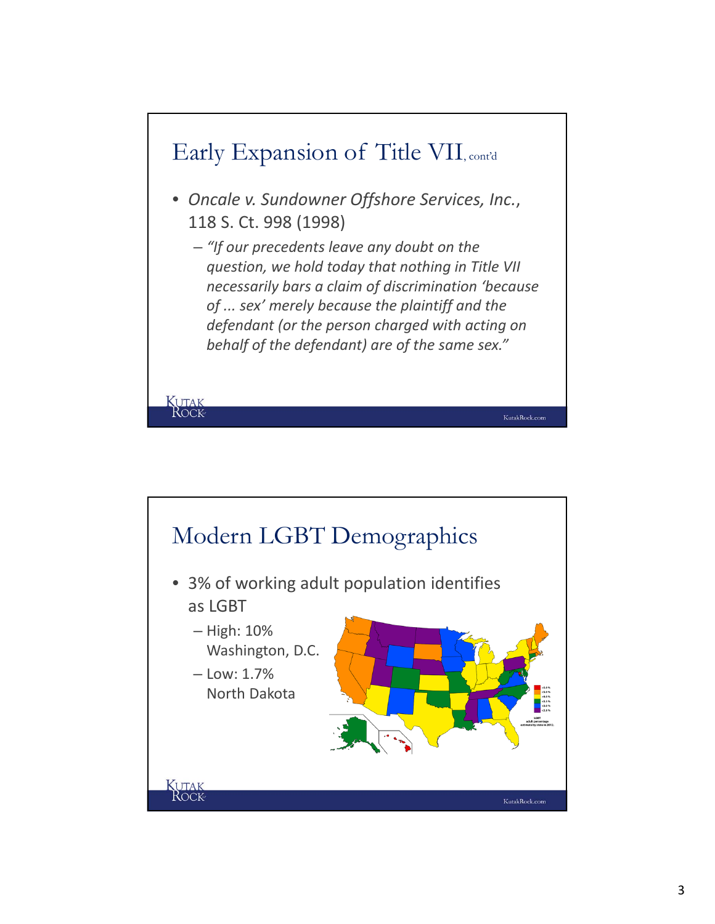

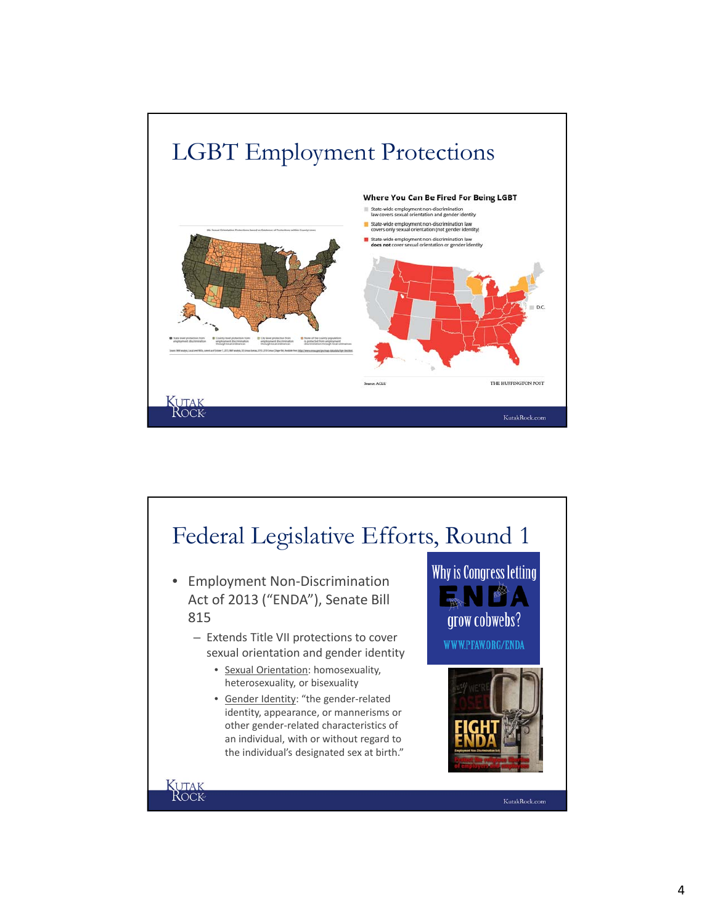

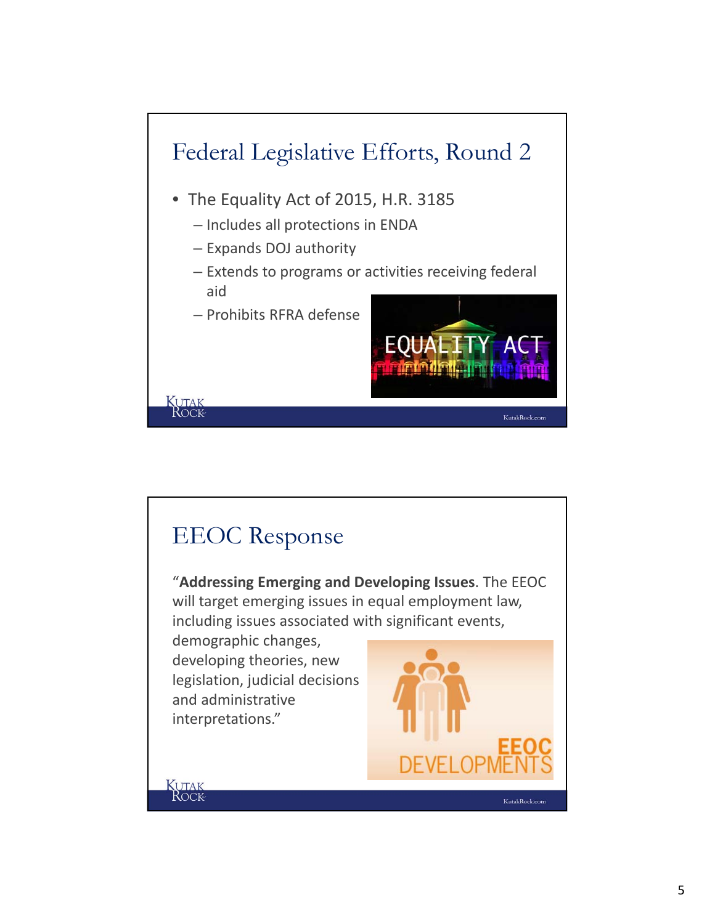

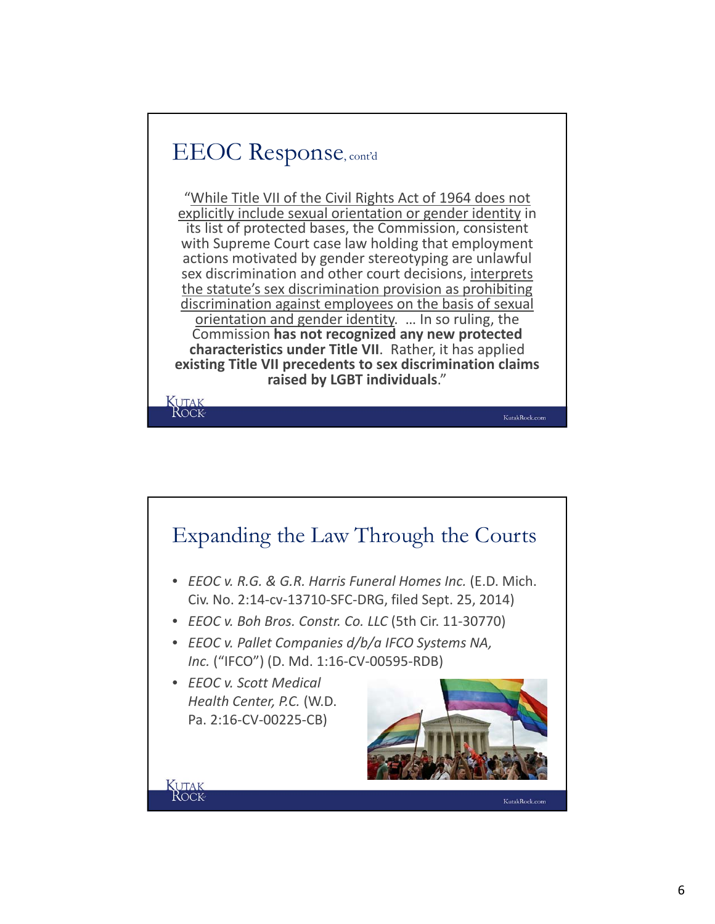## EEOC Response, cont'd

**KUTAK**<br>ROCK

"While Title VII of the Civil Rights Act of 1964 does not explicitly include sexual orientation or gender identity in its list of protected bases, the Commission, consistent with Supreme Court case law holding that employment actions motivated by gender stereotyping are unlawful sex discrimination and other court decisions, interprets the statute's sex discrimination provision as prohibiting discrimination against employees on the basis of sexual orientation and gender identity. ... In so ruling, the Commission **has not recognized any new protected characteristics under Title VII**. Rather, it has applied **existing Title VII precedents to sex discrimination claims raised by LGBT individuals**."

KutakRock.com

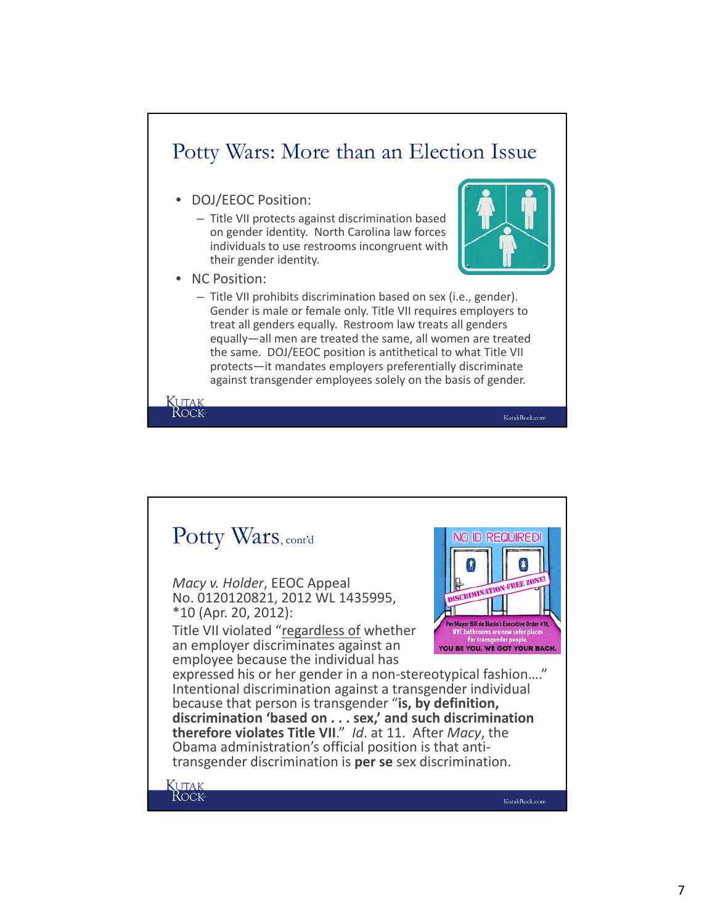## Potty Wars: More than an Election Issue

- DOJ/EEOC Position:
	- Title VII protects against discrimination based on gender identity. North Carolina law forces individuals to use restrooms incongruent with their gender identity.
- NC Position:

KUTAK<br>ROCK



KutakRock.com

– Title VII prohibits discrimination based on sex (i.e., gender). Gender is male or female only. Title VII requires employers to treat all genders equally. Restroom law treats all genders equally—all men are treated the same, all women are treated the same. DOJ/EEOC position is antithetical to what Title VII protects—it mandates employers preferentially discriminate against transgender employees solely on the basis of gender.

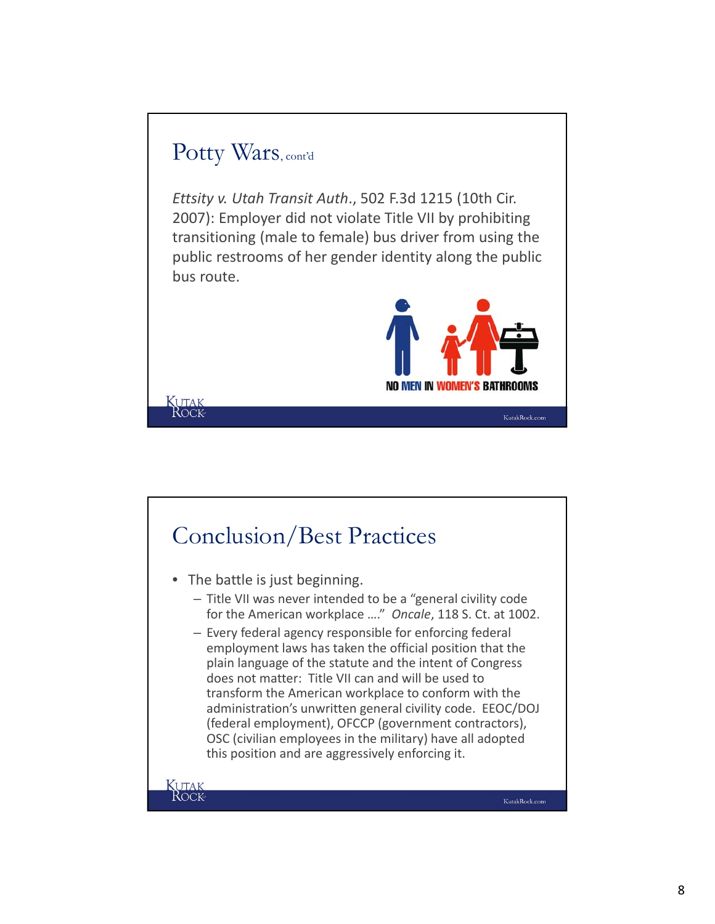## Potty Wars, cont'd

KUTAK<br>ROCK

*Ettsity v. Utah Transit Auth*., 502 F.3d 1215 (10th Cir. 2007): Employer did not violate Title VII by prohibiting transitioning (male to female) bus driver from using the public restrooms of her gender identity along the public bus route.



KutakRock.com

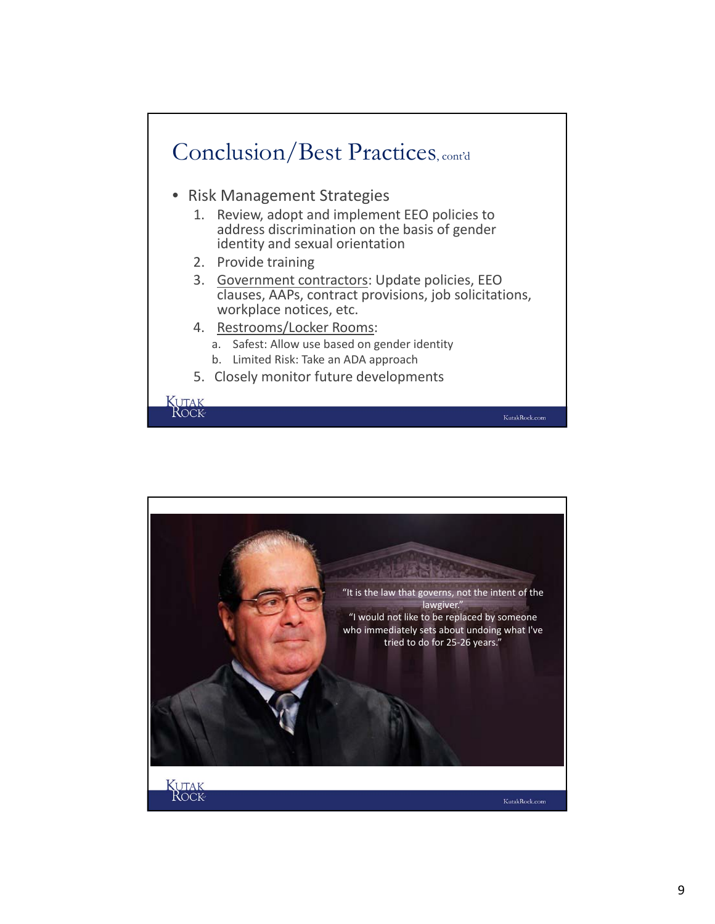